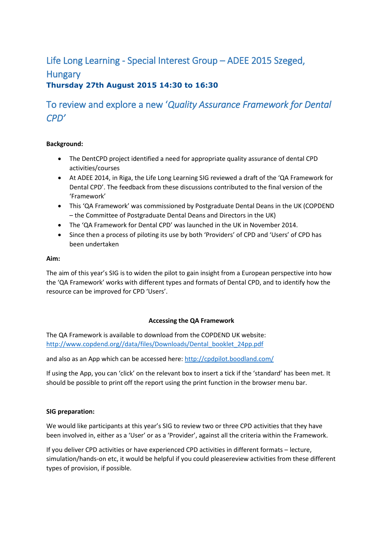## Life Long Learning - Special Interest Group – ADEE 2015 Szeged, **Hungary Thursday 27th August 2015 14:30 to 16:30**

# To review and explore a new '*Quality Assurance Framework for Dental CPD'*

## **Background:**

- The DentCPD project identified a need for appropriate quality assurance of dental CPD activities/courses
- At ADEE 2014, in Riga, the Life Long Learning SIG reviewed a draft of the 'QA Framework for Dental CPD'. The feedback from these discussions contributed to the final version of the 'Framework'
- This 'QA Framework' was commissioned by Postgraduate Dental Deans in the UK (COPDEND – the Committee of Postgraduate Dental Deans and Directors in the UK)
- The 'QA Framework for Dental CPD' was launched in the UK in November 2014.
- Since then a process of piloting its use by both 'Providers' of CPD and 'Users' of CPD has been undertaken

#### **Aim:**

The aim of this year's SIG is to widen the pilot to gain insight from a European perspective into how the 'QA Framework' works with different types and formats of Dental CPD, and to identify how the resource can be improved for CPD 'Users'.

## **Accessing the QA Framework**

The QA Framework is available to download from the COPDEND UK website: [http://www.copdend.org//data/files/Downloads/Dental\\_booklet\\_24pp.pdf](http://www.copdend.org/data/files/Downloads/Dental_booklet_24pp.pdf)

and also as an App which can be accessed here:<http://cpdpilot.boodland.com/>

If using the App, you can 'click' on the relevant box to insert a tick if the 'standard' has been met. It should be possible to print off the report using the print function in the browser menu bar.

## **SIG preparation:**

We would like participants at this year's SIG to review two or three CPD activities that they have been involved in, either as a 'User' or as a 'Provider', against all the criteria within the Framework.

If you deliver CPD activities or have experienced CPD activities in different formats – lecture, simulation/hands-on etc, it would be helpful if you could pleasereview activities from these different types of provision, if possible.